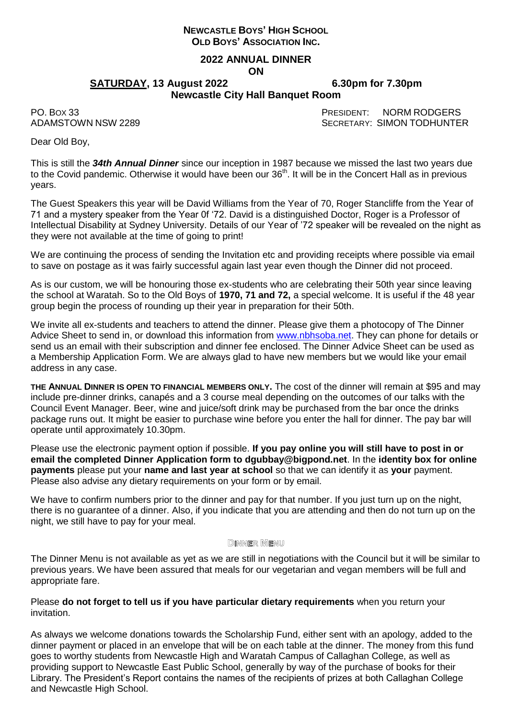# **NEWCASTLE BOYS' HIGH SCHOOL OLD BOYS' ASSOCIATION INC.**

#### **2022 ANNUAL DINNER ON**

**SATURDAY, 13 August 2022 6.30pm for 7.30pm**

# **Newcastle City Hall Banquet Room**

PO. BOX 33 PRESIDENT: NORM RODGERS ADAMSTOWN NSW 2289 SECRETARY: SIMON TODHUNTER

Dear Old Boy,

This is still the *34th Annual Dinner* since our inception in 1987 because we missed the last two years due to the Covid pandemic. Otherwise it would have been our 36<sup>th</sup>. It will be in the Concert Hall as in previous years.

The Guest Speakers this year will be David Williams from the Year of 70, Roger Stancliffe from the Year of 71 and a mystery speaker from the Year 0f '72. David is a distinguished Doctor, Roger is a Professor of Intellectual Disability at Sydney University. Details of our Year of '72 speaker will be revealed on the night as they were not available at the time of going to print!

We are continuing the process of sending the Invitation etc and providing receipts where possible via email to save on postage as it was fairly successful again last year even though the Dinner did not proceed.

As is our custom, we will be honouring those ex-students who are celebrating their 50th year since leaving the school at Waratah. So to the Old Boys of **1970, 71 and 72,** a special welcome. It is useful if the 48 year group begin the process of rounding up their year in preparation for their 50th.

We invite all ex-students and teachers to attend the dinner. Please give them a photocopy of The Dinner Advice Sheet to send in, or download this information from [www.nbhsoba.net.](http://www.nbhsoba.net/) They can phone for details or send us an email with their subscription and dinner fee enclosed. The Dinner Advice Sheet can be used as a Membership Application Form. We are always glad to have new members but we would like your email address in any case.

**THE ANNUAL DINNER IS OPEN TO FINANCIAL MEMBERS ONLY.** The cost of the dinner will remain at \$95 and may include pre-dinner drinks, canapés and a 3 course meal depending on the outcomes of our talks with the Council Event Manager. Beer, wine and juice/soft drink may be purchased from the bar once the drinks package runs out. It might be easier to purchase wine before you enter the hall for dinner. The pay bar will operate until approximately 10.30pm.

Please use the electronic payment option if possible. **If you pay online you will still have to post in or email the completed Dinner Application form to dgubbay@bigpond.net**. In the **identity box for online payments** please put your **name and last year at school** so that we can identify it as **your** payment. Please also advise any dietary requirements on your form or by email.

We have to confirm numbers prior to the dinner and pay for that number. If you just turn up on the night, there is no guarantee of a dinner. Also, if you indicate that you are attending and then do not turn up on the night, we still have to pay for your meal.

## **DINNER MENU**

The Dinner Menu is not available as yet as we are still in negotiations with the Council but it will be similar to previous years. We have been assured that meals for our vegetarian and vegan members will be full and appropriate fare.

Please **do not forget to tell us if you have particular dietary requirements** when you return your invitation.

As always we welcome donations towards the Scholarship Fund, either sent with an apology, added to the dinner payment or placed in an envelope that will be on each table at the dinner. The money from this fund goes to worthy students from Newcastle High and Waratah Campus of Callaghan College, as well as providing support to Newcastle East Public School, generally by way of the purchase of books for their Library. The President's Report contains the names of the recipients of prizes at both Callaghan College and Newcastle High School.